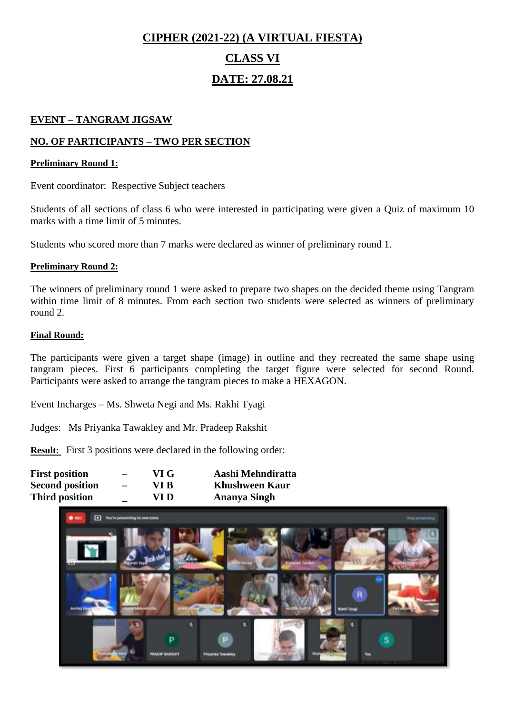# **CIPHER (2021-22) (A VIRTUAL FIESTA) CLASS VI DATE: 27.08.21**

#### **EVENT – TANGRAM JIGSAW**

#### **NO. OF PARTICIPANTS – TWO PER SECTION**

#### **Preliminary Round 1:**

Event coordinator: Respective Subject teachers

Students of all sections of class 6 who were interested in participating were given a Quiz of maximum 10 marks with a time limit of 5 minutes.

Students who scored more than 7 marks were declared as winner of preliminary round 1.

#### **Preliminary Round 2:**

The winners of preliminary round 1 were asked to prepare two shapes on the decided theme using Tangram within time limit of 8 minutes. From each section two students were selected as winners of preliminary round 2.

#### **Final Round:**

The participants were given a target shape (image) in outline and they recreated the same shape using tangram pieces. First 6 participants completing the target figure were selected for second Round. Participants were asked to arrange the tangram pieces to make a HEXAGON.

Event Incharges – Ms. Shweta Negi and Ms. Rakhi Tyagi

Judges: Ms Priyanka Tawakley and Mr. Pradeep Rakshit

| <b>First position</b>  | $\overline{\phantom{0}}$ | VI G | Aashi Mehndiratta     |
|------------------------|--------------------------|------|-----------------------|
| <b>Second position</b> | $\overline{\phantom{0}}$ | VI B | <b>Khushween Kaur</b> |
| <b>Third position</b>  |                          | VI D | Ananya Singh          |

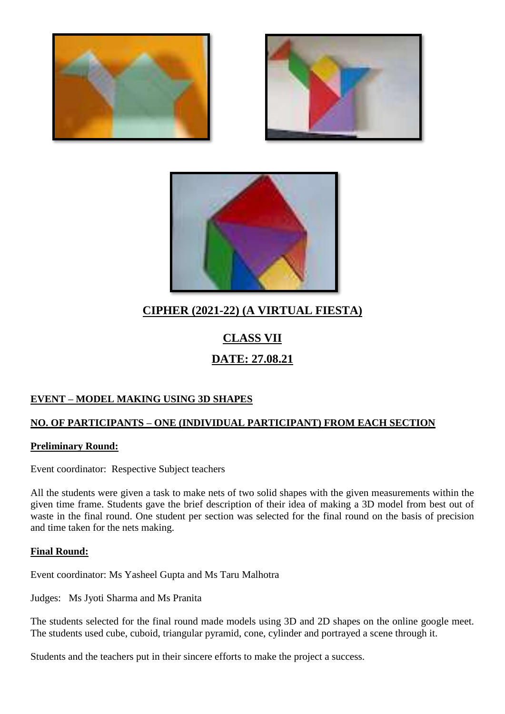





## **CIPHER (2021-22) (A VIRTUAL FIESTA)**

# **CLASS VII DATE: 27.08.21**

#### **EVENT – MODEL MAKING USING 3D SHAPES**

#### **NO. OF PARTICIPANTS – ONE (INDIVIDUAL PARTICIPANT) FROM EACH SECTION**

#### **Preliminary Round:**

Event coordinator: Respective Subject teachers

All the students were given a task to make nets of two solid shapes with the given measurements within the given time frame. Students gave the brief description of their idea of making a 3D model from best out of waste in the final round. One student per section was selected for the final round on the basis of precision and time taken for the nets making.

#### **Final Round:**

Event coordinator: Ms Yasheel Gupta and Ms Taru Malhotra

Judges: Ms Jyoti Sharma and Ms Pranita

The students selected for the final round made models using 3D and 2D shapes on the online google meet. The students used cube, cuboid, triangular pyramid, cone, cylinder and portrayed a scene through it.

Students and the teachers put in their sincere efforts to make the project a success.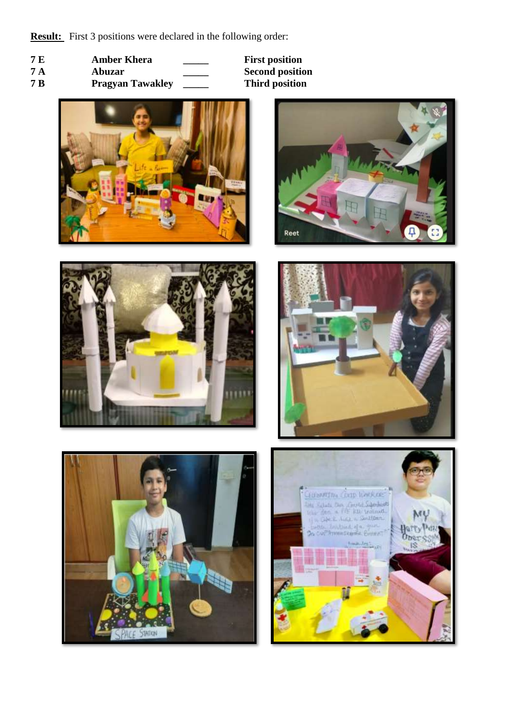- **7 E Amber Khera \_\_\_\_\_\_ First position**<br> **7 A Abuzar \_\_\_\_\_ Second position**
- 
- **7 A Abuzar 1 Abuzar Second position**<br> **7 B Pragyan Tawakley Third position Pragyan Tawakley**











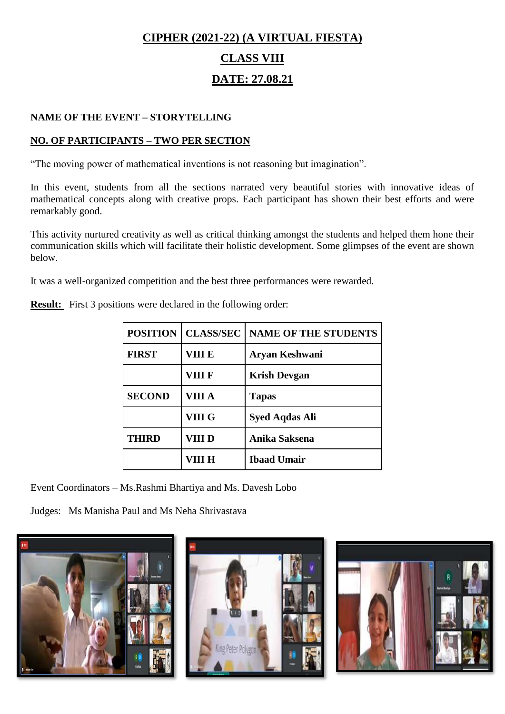# **CIPHER (2021-22) (A VIRTUAL FIESTA) CLASS VIII DATE: 27.08.21**

#### **NAME OF THE EVENT – STORYTELLING**

#### **NO. OF PARTICIPANTS – TWO PER SECTION**

"The moving power of mathematical inventions is not reasoning but imagination".

In this event, students from all the sections narrated very beautiful stories with innovative ideas of mathematical concepts along with creative props. Each participant has shown their best efforts and were remarkably good.

This activity nurtured creativity as well as critical thinking amongst the students and helped them hone their communication skills which will facilitate their holistic development. Some glimpses of the event are shown below.

It was a well-organized competition and the best three performances were rewarded.

|  |  | <b>Result:</b> First 3 positions were declared in the following order: |
|--|--|------------------------------------------------------------------------|
|  |  |                                                                        |

| <b>POSITION</b> | <b>CLASS/SEC</b> | <b>NAME OF THE STUDENTS</b> |
|-----------------|------------------|-----------------------------|
| <b>FIRST</b>    | VIII E           | Aryan Keshwani              |
|                 | VIII F           | <b>Krish Devgan</b>         |
| <b>SECOND</b>   | VIII A           | <b>Tapas</b>                |
|                 | VIII G           | <b>Syed Aqdas Ali</b>       |
| <b>THIRD</b>    | VIII D           | Anika Saksena               |
|                 | VIII H           | <b>Ibaad Umair</b>          |

Event Coordinators – Ms.Rashmi Bhartiya and Ms. Davesh Lobo

Judges: Ms Manisha Paul and Ms Neha Shrivastava

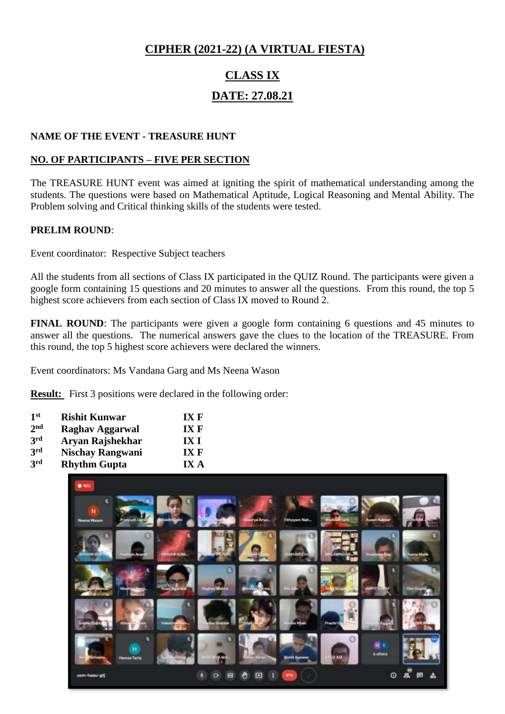#### **CIPHER (2021-22) (A VIRTUAL FIESTA)**

# **CLASS IX DATE: 27.08.21**

#### **NAME OF THE EVENT - TREASURE HUNT**

#### **NO. OF PARTICIPANTS – FIVE PER SECTION**

The TREASURE HUNT event was aimed at igniting the spirit of mathematical understanding among the students. The questions were based on Mathematical Aptitude, Logical Reasoning and Mental Ability. The Problem solving and Critical thinking skills of the students were tested.

#### **PRELIM ROUND**:

Event coordinator: Respective Subject teachers

All the students from all sections of Class IX participated in the QUIZ Round. The participants were given a google form containing 15 questions and 20 minutes to answer all the questions. From this round, the top 5 highest score achievers from each section of Class IX moved to Round 2.

**FINAL ROUND**: The participants were given a google form containing 6 questions and 45 minutes to answer all the questions. The numerical answers gave the clues to the location of the TREASURE. From this round, the top 5 highest score achievers were declared the winners.

Event coordinators: Ms Vandana Garg and Ms Neena Wason

| 1 <sup>st</sup> | <b>Rishit Kunwar</b>    | IXF  |
|-----------------|-------------------------|------|
| 2 <sub>nd</sub> | <b>Raghav Aggarwal</b>  | IXF  |
| 3rd             | Aryan Rajshekhar        | IX I |
| 3rd             | <b>Nischay Rangwani</b> | IXF  |
| 3rd             | <b>Rhythm Gupta</b>     | IX A |
|                 |                         |      |

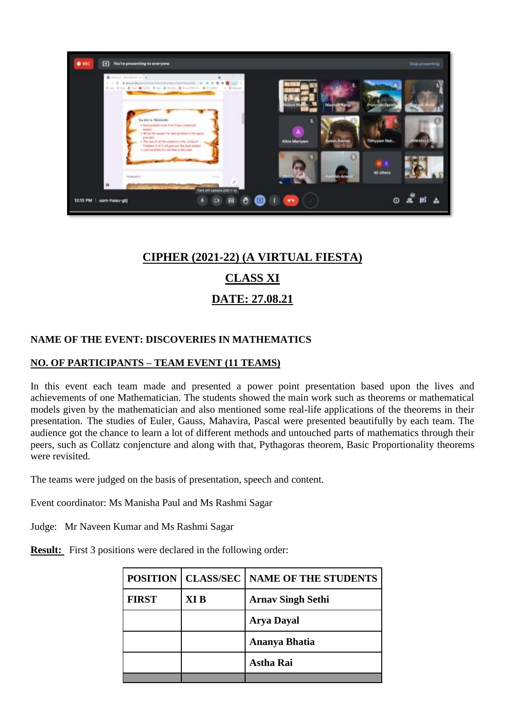

## **CIPHER (2021-22) (A VIRTUAL FIESTA)**

### **CLASS XI**

### **DATE: 27.08.21**

#### **NAME OF THE EVENT: DISCOVERIES IN MATHEMATICS**

#### **NO. OF PARTICIPANTS – TEAM EVENT (11 TEAMS)**

In this event each team made and presented a power point presentation based upon the lives and achievements of one Mathematician. The students showed the main work such as theorems or mathematical models given by the mathematician and also mentioned some real-life applications of the theorems in their presentation. The studies of Euler, Gauss, Mahavira, Pascal were presented beautifully by each team. The audience got the chance to learn a lot of different methods and untouched parts of mathematics through their peers, such as Collatz conjencture and along with that, Pythagoras theorem, Basic Proportionality theorems were revisited.

The teams were judged on the basis of presentation, speech and content.

Event coordinator: Ms Manisha Paul and Ms Rashmi Sagar

Judge: Mr Naveen Kumar and Ms Rashmi Sagar

|              |                 | POSITION   CLASS/SEC   NAME OF THE STUDENTS |
|--------------|-----------------|---------------------------------------------|
| <b>FIRST</b> | XI <sub>B</sub> | <b>Arnav Singh Sethi</b>                    |
|              |                 | <b>Arya Dayal</b>                           |
|              |                 | Ananya Bhatia                               |
|              |                 | <b>Astha Rai</b>                            |
|              |                 |                                             |